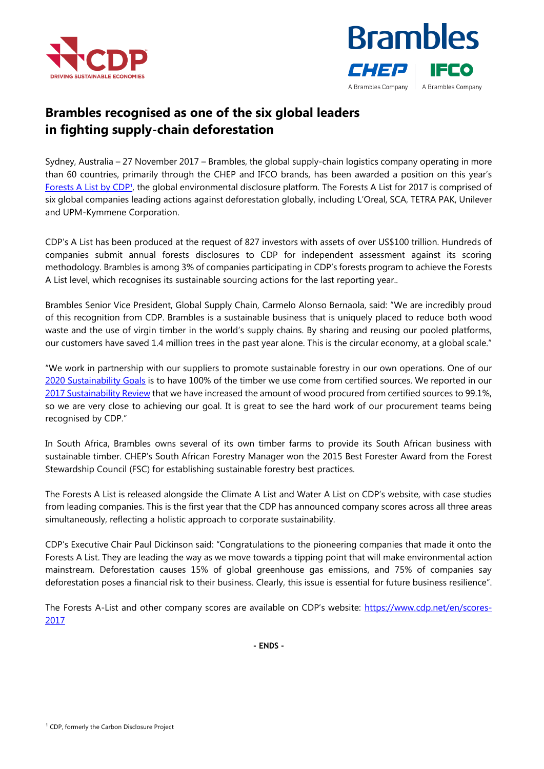



## **Brambles recognised as one of the six global leaders in fighting supply-chain deforestation**

Sydney, Australia – 27 November 2017 – Brambles, the global supply-chain logistics company operating in more than 60 countries, primarily through the CHEP and IFCO brands, has been awarded a position on this year's [Forests A List by CDP](https://www.cdp.net/en/scores-2017)<sup>1</sup>, the global environmental disclosure platform. The Forests A List for 2017 is comprised of six global companies leading actions against deforestation globally, including L'Oreal, SCA, TETRA PAK, Unilever and UPM-Kymmene Corporation.

CDP's A List has been produced at the request of 827 investors with assets of over US\$100 trillion. Hundreds of companies submit annual forests disclosures to CDP for independent assessment against its scoring methodology. Brambles is among 3% of companies participating in CDP's forests program to achieve the Forests A List level, which recognises its sustainable sourcing actions for the last reporting year..

Brambles Senior Vice President, Global Supply Chain, Carmelo Alonso Bernaola, said: "We are incredibly proud of this recognition from CDP. Brambles is a sustainable business that is uniquely placed to reduce both wood waste and the use of virgin timber in the world's supply chains. By sharing and reusing our pooled platforms, our customers have saved 1.4 million trees in the past year alone. This is the circular economy, at a global scale."

"We work in partnership with our suppliers to promote sustainable forestry in our own operations. One of our [2020 Sustainability Goals](http://www.brambles.com/Content/cms/pdf/Sustainability/BRL173_S17_TwoPager_DIGITAL.pdf) is to have 100% of the timber we use come from certified sources. We reported in our [2017 Sustainability Review](http://www.brambles.com/Content/cms/sustainability-2017/BRL209_S22_Sustainability_Report_FULL_WEB.pdf) that we have increased the amount of wood procured from certified sources to 99.1%, so we are very close to achieving our goal. It is great to see the hard work of our procurement teams being recognised by CDP."

In South Africa, Brambles owns several of its own timber farms to provide its South African business with sustainable timber. CHEP's South African Forestry Manager won the 2015 Best Forester Award from the Forest Stewardship Council (FSC) for establishing sustainable forestry best practices.

The Forests A List is released alongside the Climate A List and Water A List on CDP's website, with case studies from leading companies. This is the first year that the CDP has announced company scores across all three areas simultaneously, reflecting a holistic approach to corporate sustainability.

CDP's Executive Chair Paul Dickinson said: "Congratulations to the pioneering companies that made it onto the Forests A List. They are leading the way as we move towards a tipping point that will make environmental action mainstream. Deforestation causes 15% of global greenhouse gas emissions, and 75% of companies say deforestation poses a financial risk to their business. Clearly, this issue is essential for future business resilience".

The Forests A-List and other company scores are available on CDP's website: [https://www.cdp.net/en/scores-](https://www.cdp.net/en/scores-2017)[2017](https://www.cdp.net/en/scores-2017)

**- ENDS -**